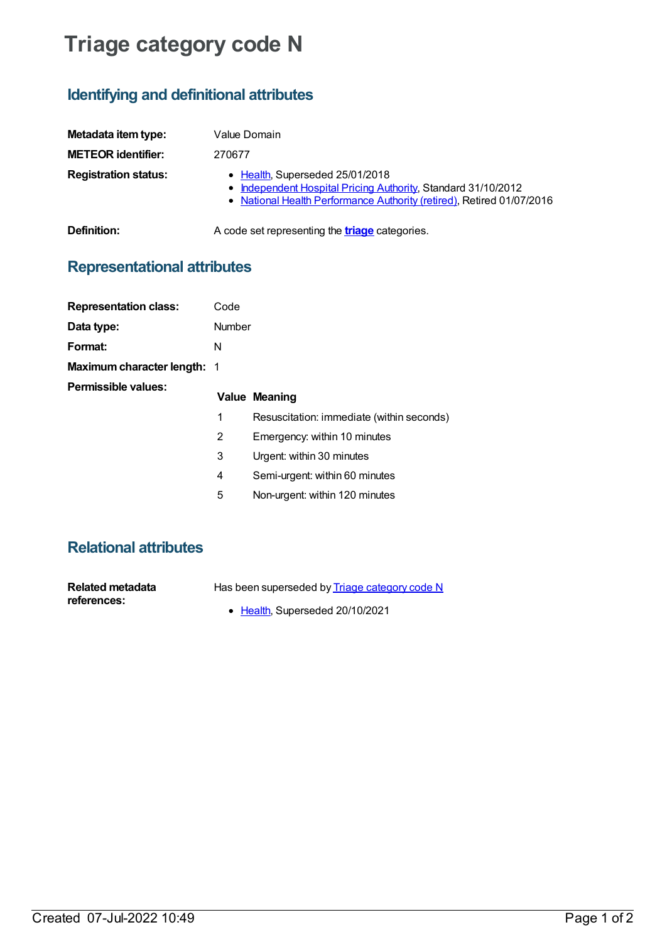## **Triage category code N**

## **Identifying and definitional attributes**

| Metadata item type:         | Value Domain                                                                                                                                                              |
|-----------------------------|---------------------------------------------------------------------------------------------------------------------------------------------------------------------------|
| <b>METEOR identifier:</b>   | 270677                                                                                                                                                                    |
| <b>Registration status:</b> | • Health, Superseded 25/01/2018<br>• Independent Hospital Pricing Authority, Standard 31/10/2012<br>• National Health Performance Authority (retired), Retired 01/07/2016 |
| Definition:                 | A code set representing the <b>triage</b> categories.                                                                                                                     |

## **Representational attributes**

| <b>Representation class:</b>       | Code   |                                           |
|------------------------------------|--------|-------------------------------------------|
| Data type:                         | Number |                                           |
| Format:                            | N      |                                           |
| <b>Maximum character length: 1</b> |        |                                           |
| Permissible values:                |        | Value Meaning                             |
|                                    | 1      | Resuscitation: immediate (within seconds) |
|                                    | 2      | Emergency: within 10 minutes              |
|                                    | 3      | Urgent: within 30 minutes                 |
|                                    | 4      | Semi-urgent: within 60 minutes            |
|                                    |        |                                           |

5 Non-urgent: within 120 minutes

## **Relational attributes**

| Related metadata | Has l |
|------------------|-------|
| references:      |       |

- been superseded by **Triage [category](https://meteor.aihw.gov.au/content/651988) code N** 
	- [Health](https://meteor.aihw.gov.au/RegistrationAuthority/12), Superseded 20/10/2021